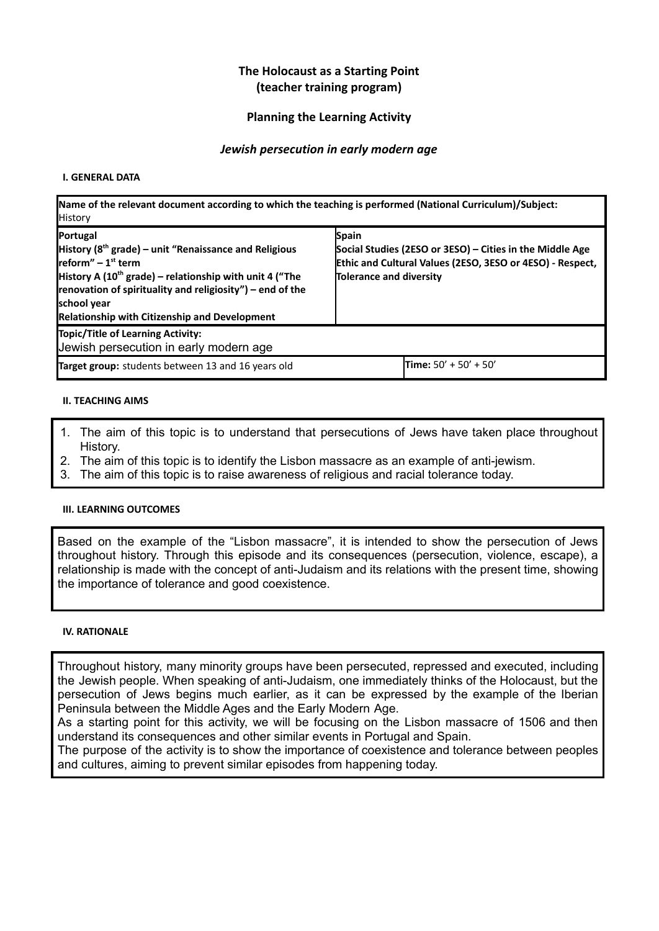#### **The Holocaust as a Starting Point (teacher training program)**

#### **Planning the Learning Activity**

#### *Jewish persecution in early modern age*

#### **I. GENERAL DATA**

| Name of the relevant document according to which the teaching is performed (National Curriculum)/Subject:<br><b>History</b>                                                                                                                                                                              |                                                                                                                                                           |  |  |  |  |
|----------------------------------------------------------------------------------------------------------------------------------------------------------------------------------------------------------------------------------------------------------------------------------------------------------|-----------------------------------------------------------------------------------------------------------------------------------------------------------|--|--|--|--|
| Portugal<br>History ( $8th$ grade) – unit "Renaissance and Religious<br>Ireform" – $1st$ term<br>History A (10 <sup>th</sup> grade) – relationship with unit 4 ("The<br>renovation of spirituality and religiosity") – end of the<br>school year<br><b>Relationship with Citizenship and Development</b> | Spain<br>Social Studies (2ESO or 3ESO) - Cities in the Middle Age<br>Ethic and Cultural Values (2ESO, 3ESO or 4ESO) - Respect,<br>Tolerance and diversity |  |  |  |  |
| Topic/Title of Learning Activity:<br>Jewish persecution in early modern age                                                                                                                                                                                                                              |                                                                                                                                                           |  |  |  |  |
| Target group: students between 13 and 16 years old                                                                                                                                                                                                                                                       | <b>Time:</b> $50' + 50' + 50'$                                                                                                                            |  |  |  |  |

#### **II. TEACHING AIMS**

- 1. The aim of this topic is to understand that persecutions of Jews have taken place throughout History.
- 2. The aim of this topic is to identify the Lisbon massacre as an example of anti-jewism.
- 3. The aim of this topic is to raise awareness of religious and racial tolerance today.

#### **III. LEARNING OUTCOMES**

Based on the example of the "Lisbon massacre", it is intended to show the persecution of Jews throughout history. Through this episode and its consequences (persecution, violence, escape), a relationship is made with the concept of anti-Judaism and its relations with the present time, showing the importance of tolerance and good coexistence.

#### **IV. RATIONALE**

Throughout history, many minority groups have been persecuted, repressed and executed, including the Jewish people. When speaking of anti-Judaism, one immediately thinks of the Holocaust, but the persecution of Jews begins much earlier, as it can be expressed by the example of the Iberian Peninsula between the Middle Ages and the Early Modern Age.

As a starting point for this activity, we will be focusing on the Lisbon massacre of 1506 and then understand its consequences and other similar events in Portugal and Spain.

The purpose of the activity is to show the importance of coexistence and tolerance between peoples and cultures, aiming to prevent similar episodes from happening today.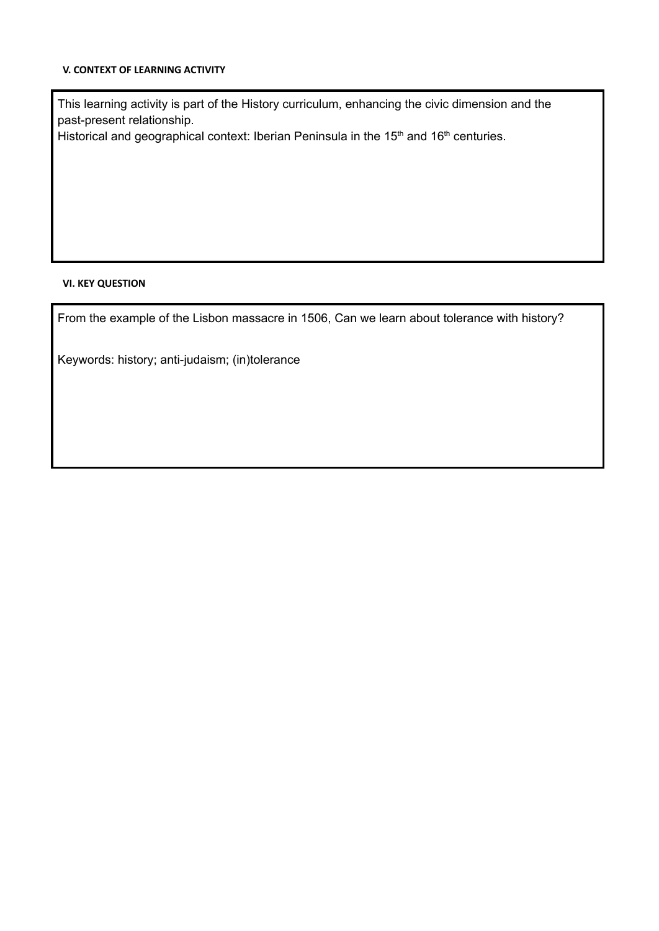#### **V. CONTEXT OF LEARNING ACTIVITY**

This learning activity is part of the History curriculum, enhancing the civic dimension and the past-present relationship.

Historical and geographical context: Iberian Peninsula in the  $15<sup>th</sup>$  and  $16<sup>th</sup>$  centuries.

#### **VI. KEY QUESTION**

From the example of the Lisbon massacre in 1506, Can we learn about tolerance with history?

Keywords: history; anti-judaism; (in)tolerance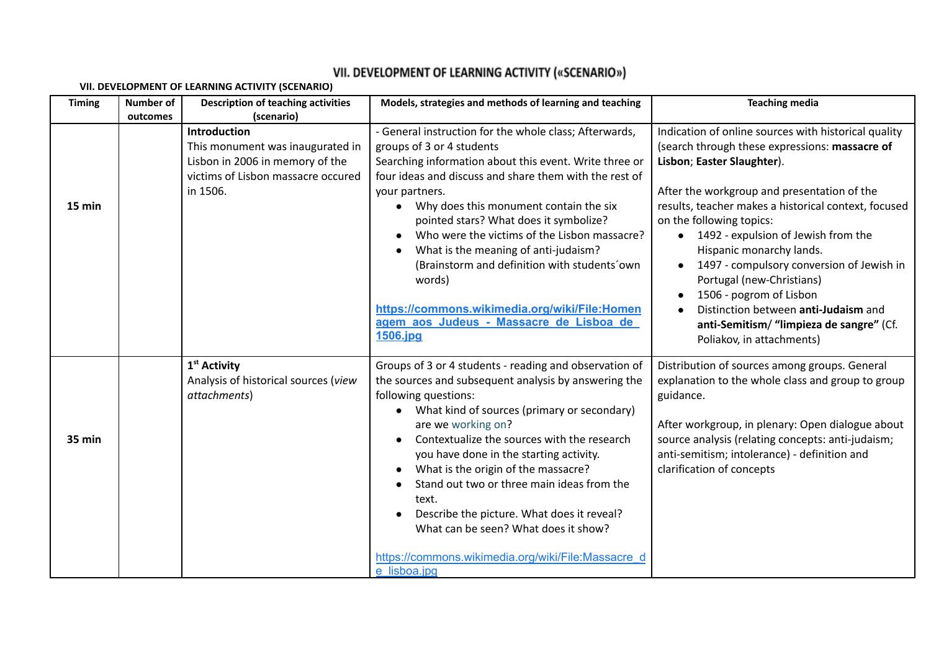# **VII. DEVELOPMENT OF LEARNING ACTIVITY (SCENARIO)**

| <b>Timing</b> | <b>Number of</b> | <b>Description of teaching activities</b>                                                                             | Models, strategies and methods of learning and teaching                                                                                                                                                                                                                                                                                                                                                                                                                                   | <b>Teaching media</b>                                                                                                                                                                                                                                                                                                                      |
|---------------|------------------|-----------------------------------------------------------------------------------------------------------------------|-------------------------------------------------------------------------------------------------------------------------------------------------------------------------------------------------------------------------------------------------------------------------------------------------------------------------------------------------------------------------------------------------------------------------------------------------------------------------------------------|--------------------------------------------------------------------------------------------------------------------------------------------------------------------------------------------------------------------------------------------------------------------------------------------------------------------------------------------|
|               | outcomes         | (scenario)<br>Introduction                                                                                            |                                                                                                                                                                                                                                                                                                                                                                                                                                                                                           |                                                                                                                                                                                                                                                                                                                                            |
| 15 min        |                  | This monument was inaugurated in<br>Lisbon in 2006 in memory of the<br>victims of Lisbon massacre occured<br>in 1506. | - General instruction for the whole class; Afterwards,<br>groups of 3 or 4 students<br>Searching information about this event. Write three or<br>four ideas and discuss and share them with the rest of<br>your partners.<br>Why does this monument contain the six<br>$\bullet$<br>pointed stars? What does it symbolize?<br>Who were the victims of the Lisbon massacre?<br>What is the meaning of anti-judaism?                                                                        | Indication of online sources with historical quality<br>(search through these expressions: massacre of<br>Lisbon; Easter Slaughter).<br>After the workgroup and presentation of the<br>results, teacher makes a historical context, focused<br>on the following topics:<br>1492 - expulsion of Jewish from the<br>Hispanic monarchy lands. |
|               |                  |                                                                                                                       | (Brainstorm and definition with students'own<br>words)<br>https://commons.wikimedia.org/wiki/File:Homen<br>agem aos Judeus - Massacre de Lisboa de<br>1506.jpg                                                                                                                                                                                                                                                                                                                            | 1497 - compulsory conversion of Jewish in<br>Portugal (new-Christians)<br>1506 - pogrom of Lisbon<br>Distinction between anti-Judaism and<br>anti-Semitism/ "limpieza de sangre" (Cf.<br>Poliakov, in attachments)                                                                                                                         |
| 35 min        |                  | 1 <sup>st</sup> Activity<br>Analysis of historical sources (view<br>attachments)                                      | Groups of 3 or 4 students - reading and observation of<br>the sources and subsequent analysis by answering the<br>following questions:<br>What kind of sources (primary or secondary)<br>are we working on?<br>Contextualize the sources with the research<br>you have done in the starting activity.<br>What is the origin of the massacre?<br>Stand out two or three main ideas from the<br>text.<br>Describe the picture. What does it reveal?<br>What can be seen? What does it show? | Distribution of sources among groups. General<br>explanation to the whole class and group to group<br>guidance.<br>After workgroup, in plenary: Open dialogue about<br>source analysis (relating concepts: anti-judaism;<br>anti-semitism; intolerance) - definition and<br>clarification of concepts                                      |
|               |                  |                                                                                                                       | https://commons.wikimedia.org/wiki/File:Massacre_d<br>e lisboa.jpg                                                                                                                                                                                                                                                                                                                                                                                                                        |                                                                                                                                                                                                                                                                                                                                            |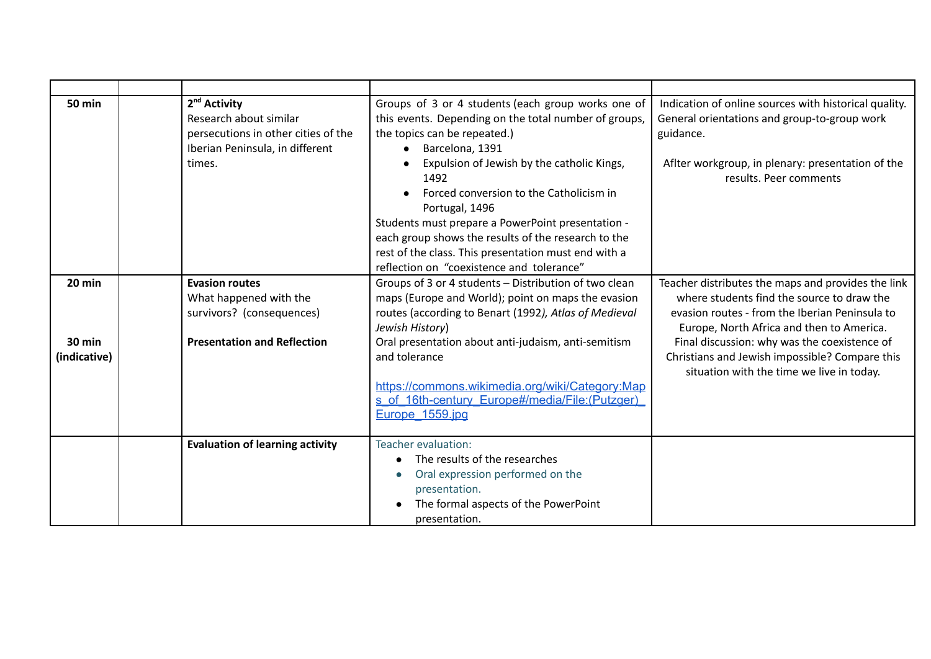| <b>50 min</b>                 | 2 <sup>nd</sup> Activity<br>Research about similar<br>persecutions in other cities of the<br>Iberian Peninsula, in different<br>times. | Groups of 3 or 4 students (each group works one of<br>this events. Depending on the total number of groups,<br>the topics can be repeated.)<br>Barcelona, 1391<br>Expulsion of Jewish by the catholic Kings,<br>1492<br>Forced conversion to the Catholicism in | Indication of online sources with historical quality.<br>General orientations and group-to-group work<br>guidance.<br>Aflter workgroup, in plenary: presentation of the<br>results. Peer comments |
|-------------------------------|----------------------------------------------------------------------------------------------------------------------------------------|-----------------------------------------------------------------------------------------------------------------------------------------------------------------------------------------------------------------------------------------------------------------|---------------------------------------------------------------------------------------------------------------------------------------------------------------------------------------------------|
|                               |                                                                                                                                        | Portugal, 1496<br>Students must prepare a PowerPoint presentation -<br>each group shows the results of the research to the<br>rest of the class. This presentation must end with a<br>reflection on "coexistence and tolerance"                                 |                                                                                                                                                                                                   |
| 20 min                        | <b>Evasion routes</b><br>What happened with the<br>survivors? (consequences)                                                           | Groups of 3 or 4 students - Distribution of two clean<br>maps (Europe and World); point on maps the evasion<br>routes (according to Benart (1992), Atlas of Medieval<br>Jewish History)                                                                         | Teacher distributes the maps and provides the link<br>where students find the source to draw the<br>evasion routes - from the Iberian Peninsula to<br>Europe, North Africa and then to America.   |
| <b>30 min</b><br>(indicative) | <b>Presentation and Reflection</b>                                                                                                     | Oral presentation about anti-judaism, anti-semitism<br>and tolerance<br>https://commons.wikimedia.org/wiki/Category:Map<br>s of 16th-century Europe#/media/File:(Putzger)<br>Europe 1559.jpg                                                                    | Final discussion: why was the coexistence of<br>Christians and Jewish impossible? Compare this<br>situation with the time we live in today.                                                       |
|                               | <b>Evaluation of learning activity</b>                                                                                                 | Teacher evaluation:<br>The results of the researches<br>Oral expression performed on the<br>presentation.<br>The formal aspects of the PowerPoint<br>presentation.                                                                                              |                                                                                                                                                                                                   |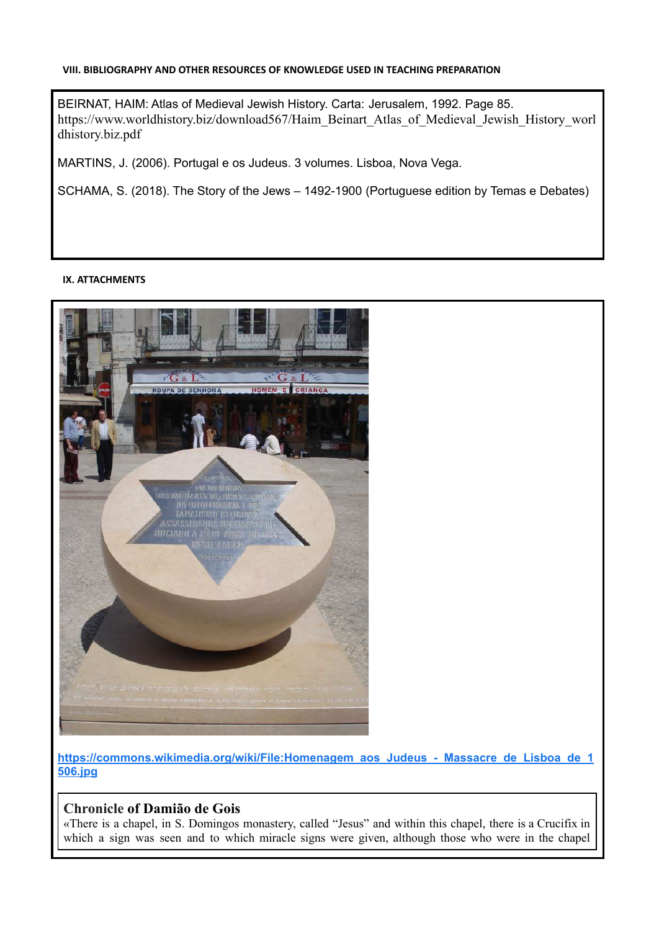#### **VIII. BIBLIOGRAPHY AND OTHER RESOURCES OF KNOWLEDGE USED IN TEACHING PREPARATION**

BEIRNAT, HAIM: Atlas of Medieval Jewish History. Carta: Jerusalem, 1992. Page 85. [https://www.worldhistory.biz/download567/Haim\\_Beinart\\_Atlas\\_of\\_Medieval\\_Jewish\\_History\\_worl](https://www.worldhistory.biz/download567/Haim_Beinart_Atlas_of_Medieval_Jewish_History_worldhistory.biz.pdf) [dhistory.biz.pdf](https://www.worldhistory.biz/download567/Haim_Beinart_Atlas_of_Medieval_Jewish_History_worldhistory.biz.pdf)

MARTINS, J. (2006). Portugal e os Judeus. 3 volumes. Lisboa, Nova Vega.

SCHAMA, S. (2018). The Story of the Jews – 1492-1900 (Portuguese edition by Temas e Debates)

#### **IX. ATTACHMENTS**



**[https://commons.wikimedia.org/wiki/File:Homenagem\\_aos\\_Judeus\\_-\\_Massacre\\_de\\_Lisboa\\_de\\_1](https://commons.wikimedia.org/wiki/File:Homenagem_aos_Judeus_-_Massacre_de_Lisboa_de_1506.jpg) [506.jpg](https://commons.wikimedia.org/wiki/File:Homenagem_aos_Judeus_-_Massacre_de_Lisboa_de_1506.jpg)**

#### **Chronicle of Damião de Gois**

«There is a chapel, in S. Domingos monastery, called "Jesus" and within this chapel, there is a Crucifix in which a sign was seen and to which miracle signs were given, although those who were in the chapel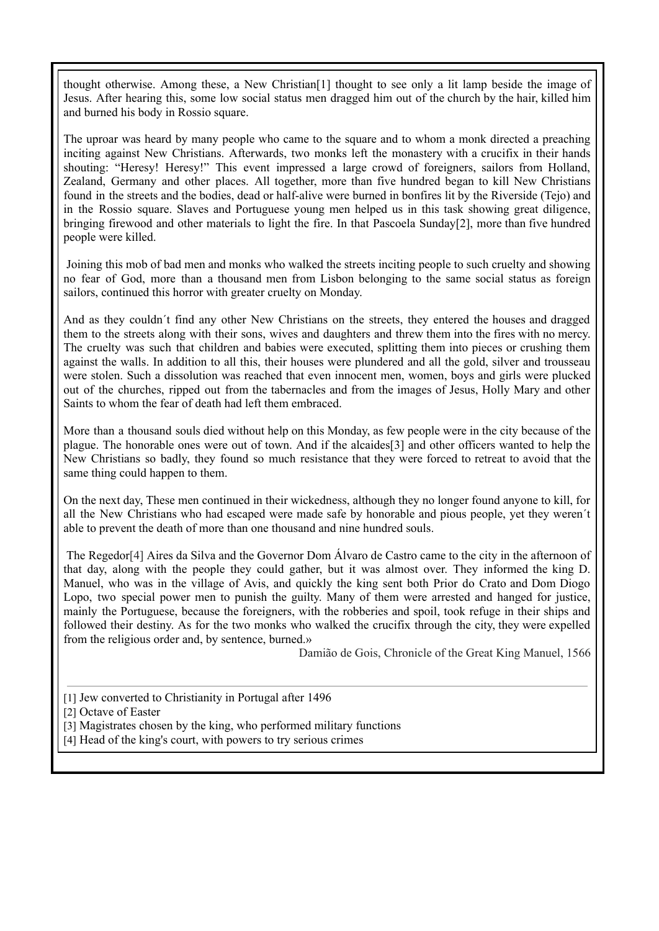thought otherwise. Among these, a New Christian[1] thought to see only a lit lamp beside the image of Jesus. After hearing this, some low social status men dragged him out of the church by the hair, killed him and burned his body in Rossio square.

The uproar was heard by many people who came to the square and to whom a monk directed a preaching inciting against New Christians. Afterwards, two monks left the monastery with a crucifix in their hands shouting: "Heresy! Heresy!" This event impressed a large crowd of foreigners, sailors from Holland, Zealand, Germany and other places. All together, more than five hundred began to kill New Christians found in the streets and the bodies, dead or half-alive were burned in bonfires lit by the Riverside (Tejo) and in the Rossio square. Slaves and Portuguese young men helped us in this task showing great diligence, bringing firewood and other materials to light the fire. In that Pascoela Sunday[2], more than five hundred people were killed.

Joining this mob of bad men and monks who walked the streets inciting people to such cruelty and showing no fear of God, more than a thousand men from Lisbon belonging to the same social status as foreign sailors, continued this horror with greater cruelty on Monday.

And as they couldn´t find any other New Christians on the streets, they entered the houses and dragged them to the streets along with their sons, wives and daughters and threw them into the fires with no mercy. The cruelty was such that children and babies were executed, splitting them into pieces or crushing them against the walls. In addition to all this, their houses were plundered and all the gold, silver and trousseau were stolen. Such a dissolution was reached that even innocent men, women, boys and girls were plucked out of the churches, ripped out from the tabernacles and from the images of Jesus, Holly Mary and other Saints to whom the fear of death had left them embraced.

More than a thousand souls died without help on this Monday, as few people were in the city because of the plague. The honorable ones were out of town. And if the alcaides[3] and other officers wanted to help the New Christians so badly, they found so much resistance that they were forced to retreat to avoid that the same thing could happen to them.

On the next day, These men continued in their wickedness, although they no longer found anyone to kill, for all the New Christians who had escaped were made safe by honorable and pious people, yet they weren´t able to prevent the death of more than one thousand and nine hundred souls.

The Regedor[4] Aires da Silva and the Governor Dom Álvaro de Castro came to the city in the afternoon of that day, along with the people they could gather, but it was almost over. They informed the king D. Manuel, who was in the village of Avis, and quickly the king sent both Prior do Crato and Dom Diogo Lopo, two special power men to punish the guilty. Many of them were arrested and hanged for justice, mainly the Portuguese, because the foreigners, with the robberies and spoil, took refuge in their ships and followed their destiny. As for the two monks who walked the crucifix through the city, they were expelled from the religious order and, by sentence, burned.»

Damião de Gois, Chronicle of the Great King Manuel, 1566

[1] Jew converted to Christianity in Portugal after 1496

- [3] Magistrates chosen by the king, who performed military functions
- [4] Head of the king's court, with powers to try serious crimes

<sup>[2]</sup> Octave of Easter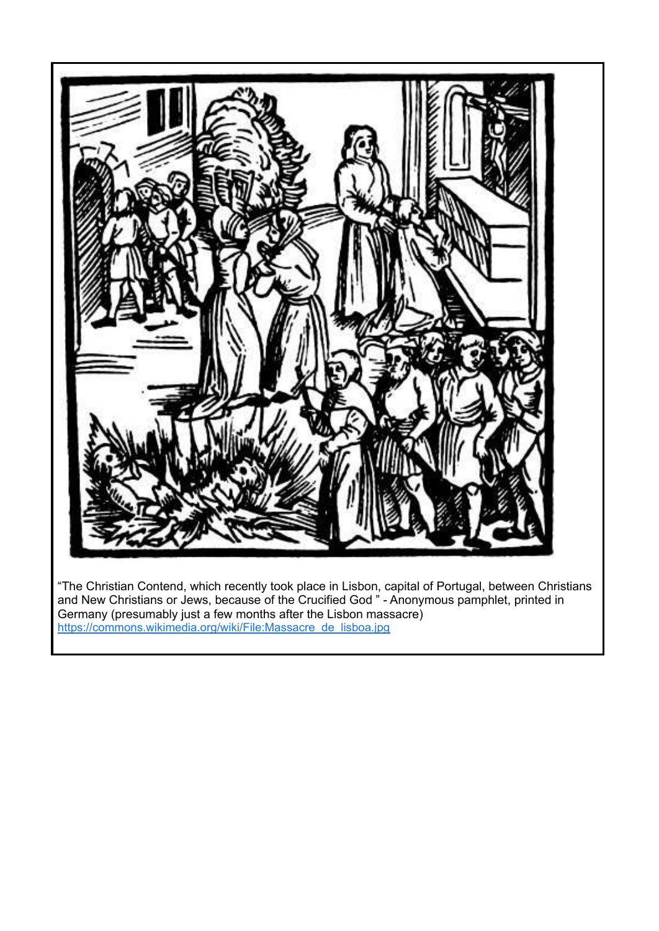

"The Christian Contend, which recently took place in Lisbon, capital of Portugal, between Christians and New Christians or Jews, because of the Crucified God " - Anonymous pamphlet, printed in Germany (presumably just a few months after the Lisbon massacre) [https://commons.wikimedia.org/wiki/File:Massacre\\_de\\_lisboa.jpg](https://commons.wikimedia.org/wiki/File:Massacre_de_lisboa.jpg)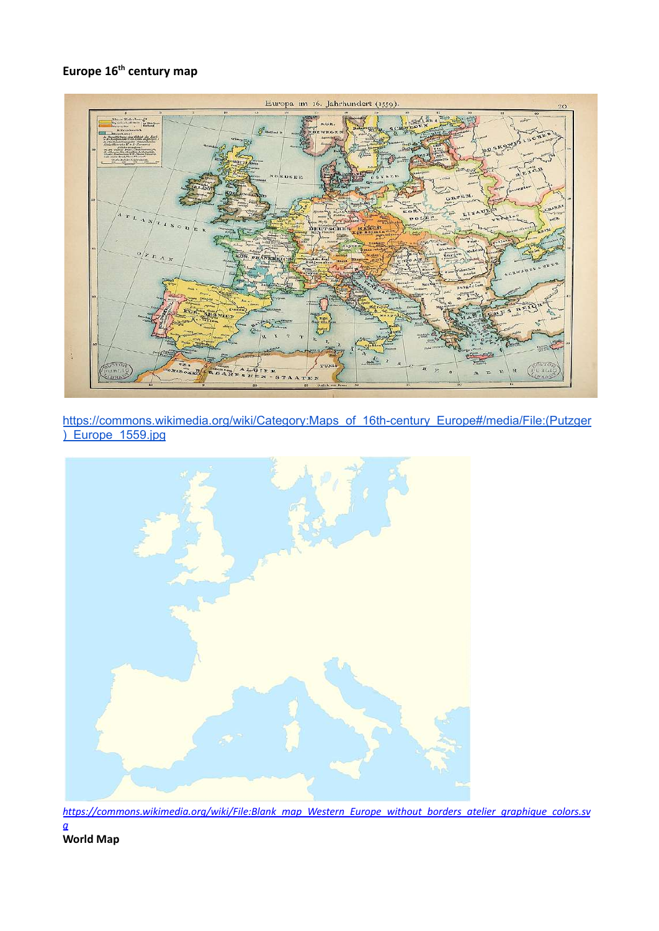# **Europe 16th century map**



[https://commons.wikimedia.org/wiki/Category:Maps\\_of\\_16th-century\\_Europe#/media/File:\(Putzger](https://commons.wikimedia.org/wiki/Category:Maps_of_16th-century_Europe#/media/File:(Putzger)_Europe_1559.jpg) [\)\\_Europe\\_1559.jpg](https://commons.wikimedia.org/wiki/Category:Maps_of_16th-century_Europe#/media/File:(Putzger)_Europe_1559.jpg)



*[https://commons.wikimedia.org/wiki/File:Blank\\_map\\_Western\\_Europe\\_without\\_borders\\_atelier\\_graphique\\_colors.sv](https://commons.wikimedia.org/wiki/File:Blank_map_Western_Europe_without_borders_atelier_graphique_colors.svg) [g](https://commons.wikimedia.org/wiki/File:Blank_map_Western_Europe_without_borders_atelier_graphique_colors.svg)*

**World Map**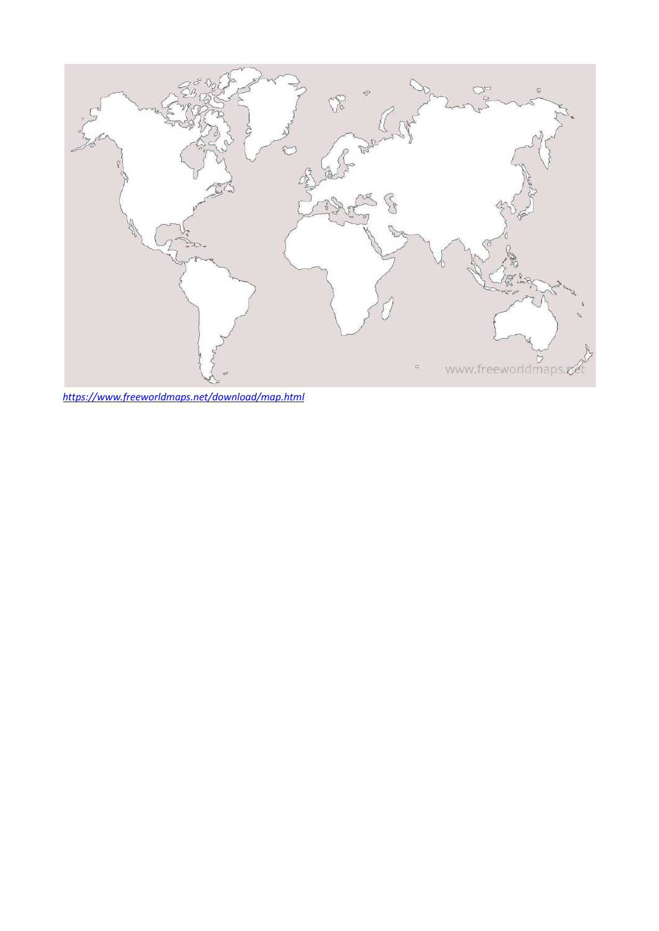

*<https://www.freeworldmaps.net/download/map.html>*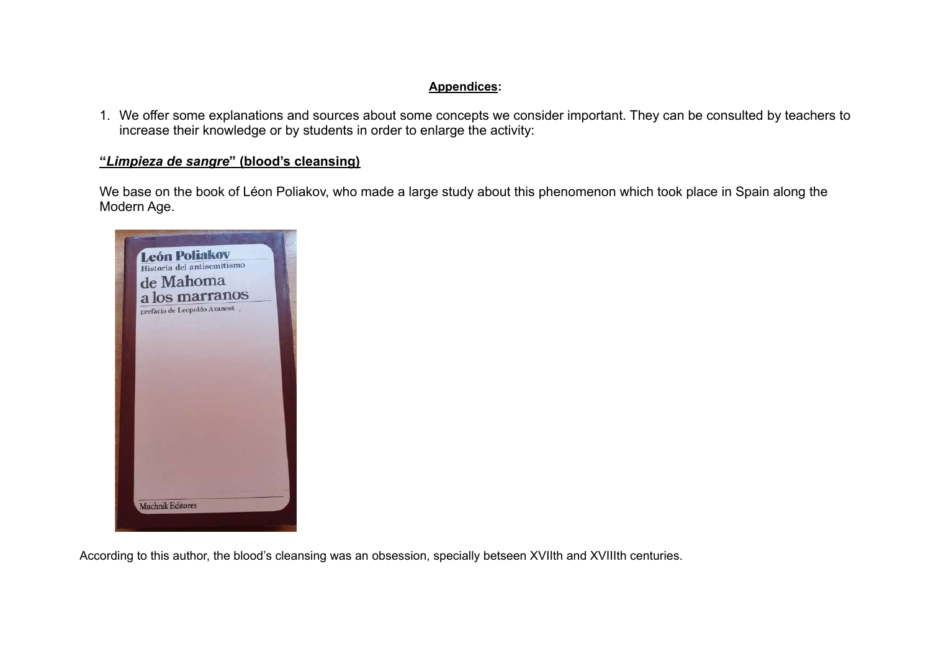#### **Appendices:**

1. We offer some explanations and sources about some concepts we consider important. They can be consulted by teachers to increase their knowledge or by students in order to enlarge the activity:

#### **"***Limpieza de sangre***" (blood's cleansing)**

We base on the book of Léon Poliakov, who made a large study about this phenomenon which took place in Spain along the Modern Age.



According to this author, the blood's cleansing was an obsession, specially betseen XVIIth and XVIIIth centuries.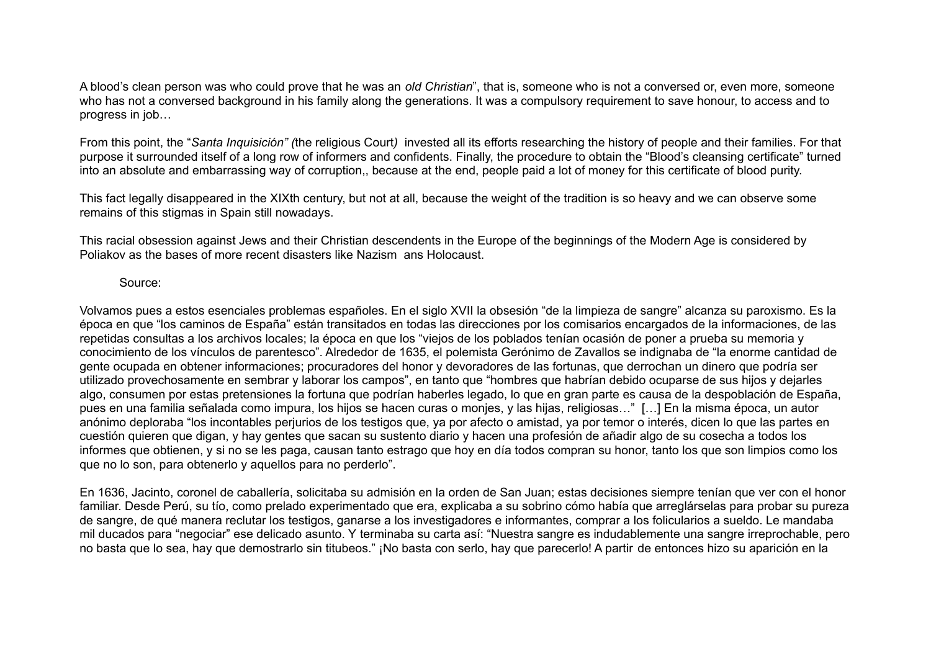A blood's clean person was who could prove that he was an *old Christian*", that is, someone who is not a conversed or, even more, someone who has not a conversed background in his family along the generations. It was a compulsory requirement to save honour, to access and to progress in job…

From this point, the "*Santa Inquisición" (*the religious Court*)* invested all its efforts researching the history of people and their families. For that purpose it surrounded itself of a long row of informers and confidents. Finally, the procedure to obtain the "Blood's cleansing certificate" turned into an absolute and embarrassing way of corruption,, because at the end, people paid a lot of money for this certificate of blood purity.

This fact legally disappeared in the XIXth century, but not at all, because the weight of the tradition is so heavy and we can observe some remains of this stigmas in Spain still nowadays.

This racial obsession against Jews and their Christian descendents in the Europe of the beginnings of the Modern Age is considered by Poliakov as the bases of more recent disasters like Nazism ans Holocaust.

Source:

Volvamos pues a estos esenciales problemas españoles. En el siglo XVII la obsesión "de la limpieza de sangre" alcanza su paroxismo. Es la época en que "los caminos de España" están transitados en todas las direcciones por los comisarios encargados de la informaciones, de las repetidas consultas a los archivos locales; la época en que los "viejos de los poblados tenían ocasión de poner a prueba su memoria y conocimiento de los vínculos de parentesco". Alrededor de 1635, el polemista Gerónimo de Zavallos se indignaba de "la enorme cantidad de gente ocupada en obtener informaciones; procuradores del honor y devoradores de las fortunas, que derrochan un dinero que podría ser utilizado provechosamente en sembrar y laborar los campos", en tanto que "hombres que habrían debido ocuparse de sus hijos y dejarles algo, consumen por estas pretensiones la fortuna que podrían haberles legado, lo que en gran parte es causa de la despoblación de España, pues en una familia señalada como impura, los hijos se hacen curas o monjes, y las hijas, religiosas…" […] En la misma época, un autor anónimo deploraba "los incontables perjurios de los testigos que, ya por afecto o amistad, ya por temor o interés, dicen lo que las partes en cuestión quieren que digan, y hay gentes que sacan su sustento diario y hacen una profesión de añadir algo de su cosecha a todos los informes que obtienen, y si no se les paga, causan tanto estrago que hoy en día todos compran su honor, tanto los que son limpios como los que no lo son, para obtenerlo y aquellos para no perderlo".

En 1636, Jacinto, coronel de caballería, solicitaba su admisión en la orden de San Juan; estas decisiones siempre tenían que ver con el honor familiar. Desde Perú, su tío, como prelado experimentado que era, explicaba a su sobrino cómo había que arreglárselas para probar su pureza de sangre, de qué manera reclutar los testigos, ganarse a los investigadores e informantes, comprar a los folicularios a sueldo. Le mandaba mil ducados para "negociar" ese delicado asunto. Y terminaba su carta así: "Nuestra sangre es indudablemente una sangre irreprochable, pero no basta que lo sea, hay que demostrarlo sin titubeos." ¡No basta con serlo, hay que parecerlo! A partir de entonces hizo su aparición en la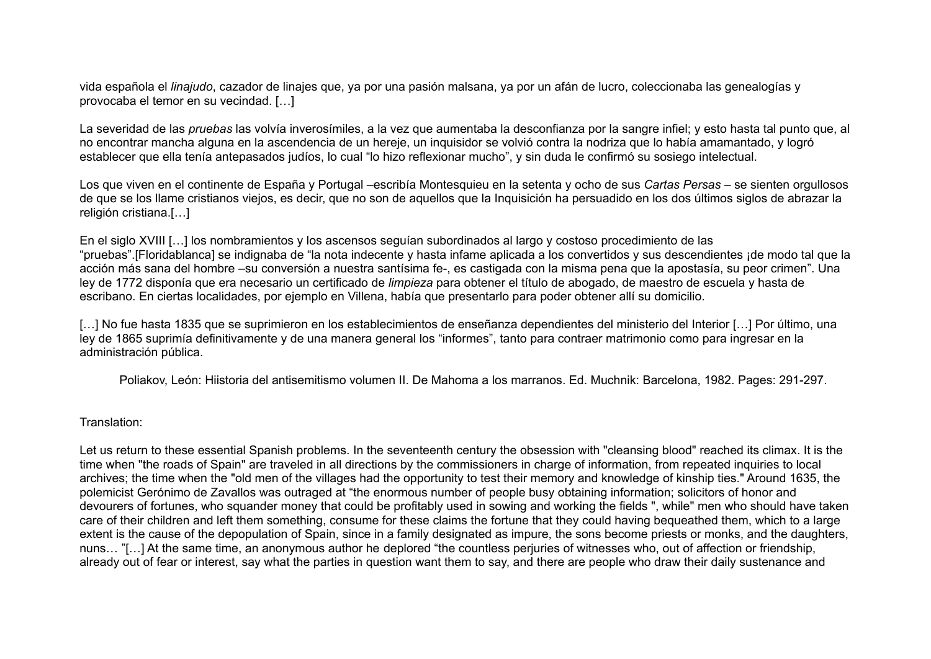vida española el *linajudo*, cazador de linajes que, ya por una pasión malsana, ya por un afán de lucro, coleccionaba las genealogías y provocaba el temor en su vecindad. […]

La severidad de las *pruebas* las volvía inverosímiles, a la vez que aumentaba la desconfianza por la sangre infiel; y esto hasta tal punto que, al no encontrar mancha alguna en la ascendencia de un hereje, un inquisidor se volvió contra la nodriza que lo había amamantado, y logró establecer que ella tenía antepasados judíos, lo cual "lo hizo reflexionar mucho", y sin duda le confirmó su sosiego intelectual.

Los que viven en el continente de España y Portugal –escribía Montesquieu en la setenta y ocho de sus *Cartas Persas* – se sienten orgullosos de que se los llame cristianos viejos, es decir, que no son de aquellos que la Inquisición ha persuadido en los dos últimos siglos de abrazar la religión cristiana.[…]

En el siglo XVIII […] los nombramientos y los ascensos seguían subordinados al largo y costoso procedimiento de las "pruebas".[Floridablanca] se indignaba de "la nota indecente y hasta infame aplicada a los convertidos y sus descendientes ¡de modo tal que la acción más sana del hombre –su conversión a nuestra santísima fe-, es castigada con la misma pena que la apostasía, su peor crimen". Una ley de 1772 disponía que era necesario un certificado de *limpieza* para obtener el título de abogado, de maestro de escuela y hasta de escribano. En ciertas localidades, por ejemplo en Villena, había que presentarlo para poder obtener allí su domicilio.

[...] No fue hasta 1835 que se suprimieron en los establecimientos de enseñanza dependientes del ministerio del Interior [...] Por último, una ley de 1865 suprimía definitivamente y de una manera general los "informes", tanto para contraer matrimonio como para ingresar en la administración pública.

Poliakov, León: Hiistoria del antisemitismo volumen II. De Mahoma a los marranos. Ed. Muchnik: Barcelona, 1982. Pages: 291-297.

#### Translation:

Let us return to these essential Spanish problems. In the seventeenth century the obsession with "cleansing blood" reached its climax. It is the time when "the roads of Spain" are traveled in all directions by the commissioners in charge of information, from repeated inquiries to local archives; the time when the "old men of the villages had the opportunity to test their memory and knowledge of kinship ties." Around 1635, the polemicist Gerónimo de Zavallos was outraged at "the enormous number of people busy obtaining information; solicitors of honor and devourers of fortunes, who squander money that could be profitably used in sowing and working the fields ", while" men who should have taken care of their children and left them something, consume for these claims the fortune that they could having bequeathed them, which to a large extent is the cause of the depopulation of Spain, since in a family designated as impure, the sons become priests or monks, and the daughters, nuns… "[…] At the same time, an anonymous author he deplored "the countless perjuries of witnesses who, out of affection or friendship, already out of fear or interest, say what the parties in question want them to say, and there are people who draw their daily sustenance and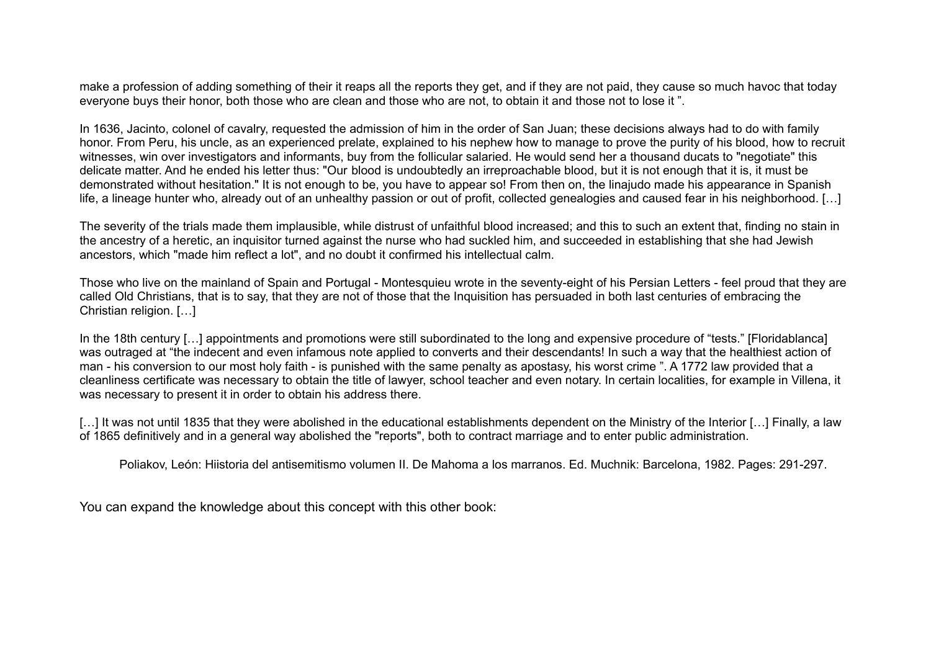make a profession of adding something of their it reaps all the reports they get, and if they are not paid, they cause so much havoc that today everyone buys their honor, both those who are clean and those who are not, to obtain it and those not to lose it ".

In 1636, Jacinto, colonel of cavalry, requested the admission of him in the order of San Juan: these decisions always had to do with family honor. From Peru, his uncle, as an experienced prelate, explained to his nephew how to manage to prove the purity of his blood, how to recruit witnesses, win over investigators and informants, buy from the follicular salaried. He would send her a thousand ducats to "negotiate" this delicate matter. And he ended his letter thus: "Our blood is undoubtedly an irreproachable blood, but it is not enough that it is, it must be demonstrated without hesitation." It is not enough to be, you have to appear so! From then on, the linajudo made his appearance in Spanish life, a lineage hunter who, already out of an unhealthy passion or out of profit, collected genealogies and caused fear in his neighborhood. […]

The severity of the trials made them implausible, while distrust of unfaithful blood increased; and this to such an extent that, finding no stain in the ancestry of a heretic, an inquisitor turned against the nurse who had suckled him, and succeeded in establishing that she had Jewish ancestors, which "made him reflect a lot", and no doubt it confirmed his intellectual calm.

Those who live on the mainland of Spain and Portugal - Montesquieu wrote in the seventy-eight of his Persian Letters - feel proud that they are called Old Christians, that is to say, that they are not of those that the Inquisition has persuaded in both last centuries of embracing the Christian religion. […]

In the 18th century [...] appointments and promotions were still subordinated to the long and expensive procedure of "tests." [Floridablanca] was outraged at "the indecent and even infamous note applied to converts and their descendants! In such a way that the healthiest action of man - his conversion to our most holy faith - is punished with the same penalty as apostasy, his worst crime ". A 1772 law provided that a cleanliness certificate was necessary to obtain the title of lawyer, school teacher and even notary. In certain localities, for example in Villena, it was necessary to present it in order to obtain his address there.

[...] It was not until 1835 that they were abolished in the educational establishments dependent on the Ministry of the Interior [...] Finally, a law of 1865 definitively and in a general way abolished the "reports", both to contract marriage and to enter public administration.

Poliakov, León: Hiistoria del antisemitismo volumen II. De Mahoma a los marranos. Ed. Muchnik: Barcelona, 1982. Pages: 291-297.

You can expand the knowledge about this concept with this other book: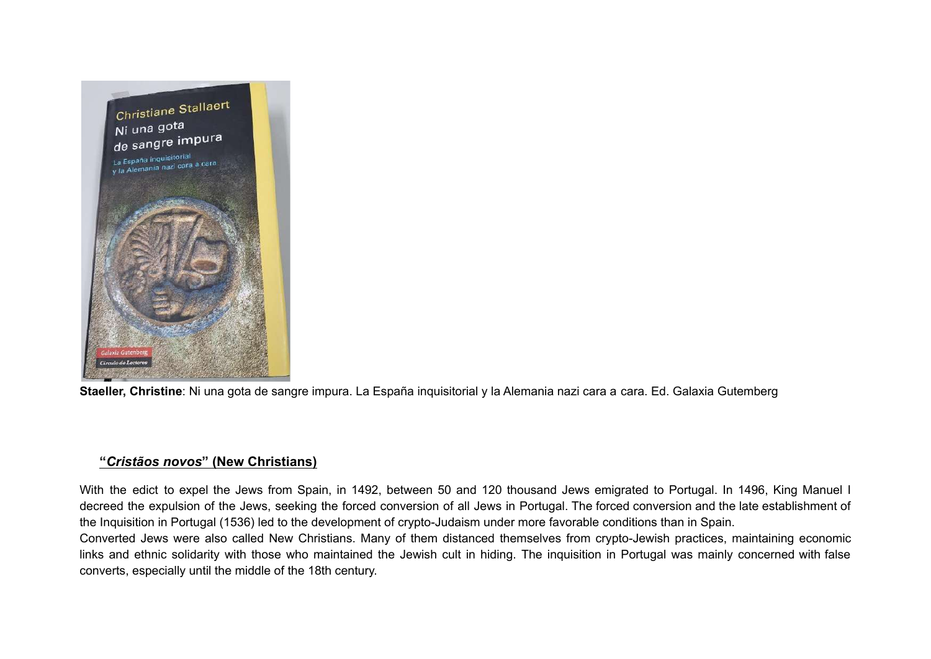

**Staeller, Christine**: Ni una gota de sangre impura. La España inquisitorial y la Alemania nazi cara a cara. Ed. Galaxia Gutemberg

### **"***Cristãos novos***" (New Christians)**

With the edict to expel the Jews from Spain, in 1492, between 50 and 120 thousand Jews emigrated to Portugal. In 1496, King Manuel I decreed the expulsion of the Jews, seeking the forced conversion of all Jews in Portugal. The forced conversion and the late establishment of the Inquisition in Portugal (1536) led to the development of crypto-Judaism under more favorable conditions than in Spain.

Converted Jews were also called New Christians. Many of them distanced themselves from crypto-Jewish practices, maintaining economic links and ethnic solidarity with those who maintained the Jewish cult in hiding. The inquisition in Portugal was mainly concerned with false converts, especially until the middle of the 18th century.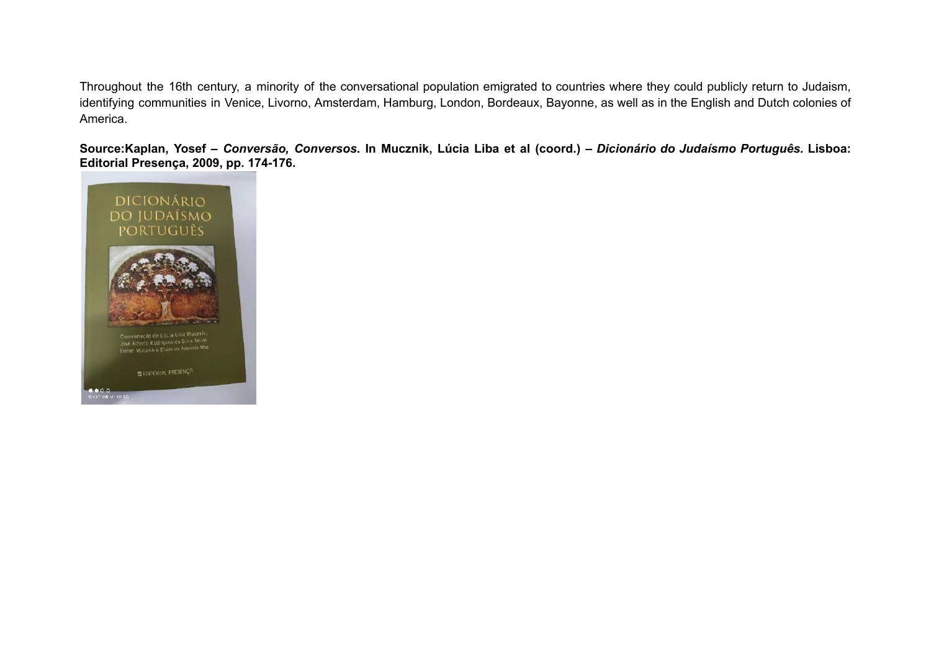Throughout the 16th century, a minority of the conversational population emigrated to countries where they could publicly return to Judaism, identifying communities in Venice, Livorno, Amsterdam, Hamburg, London, Bordeaux, Bayonne, as well as in the English and Dutch colonies of America.

Source:Kaplan, Yosef - Conversão, Conversos. In Mucznik, Lúcia Liba et al (coord.) - Dicionário do Judaísmo Português. Lisboa: **Editorial Presença, 2009, pp. 174-176.**

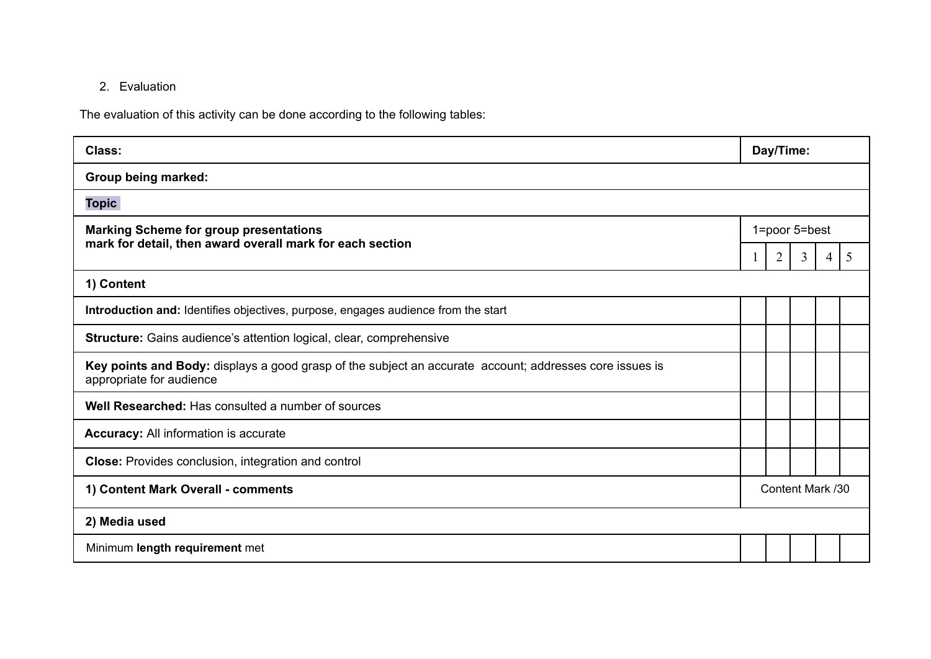## 2. Evaluation

The evaluation of this activity can be done according to the following tables:

| Class:                                                                                                                              | Day/Time:        |                |                |   |   |
|-------------------------------------------------------------------------------------------------------------------------------------|------------------|----------------|----------------|---|---|
| Group being marked:                                                                                                                 |                  |                |                |   |   |
| <b>Topic</b>                                                                                                                        |                  |                |                |   |   |
| <b>Marking Scheme for group presentations</b>                                                                                       | 1=poor 5=best    |                |                |   |   |
| mark for detail, then award overall mark for each section                                                                           |                  | $\overline{2}$ | $\overline{3}$ | 4 | 5 |
| 1) Content                                                                                                                          |                  |                |                |   |   |
| Introduction and: Identifies objectives, purpose, engages audience from the start                                                   |                  |                |                |   |   |
| <b>Structure:</b> Gains audience's attention logical, clear, comprehensive                                                          |                  |                |                |   |   |
| Key points and Body: displays a good grasp of the subject an accurate account; addresses core issues is<br>appropriate for audience |                  |                |                |   |   |
| Well Researched: Has consulted a number of sources                                                                                  |                  |                |                |   |   |
| <b>Accuracy:</b> All information is accurate                                                                                        |                  |                |                |   |   |
| Close: Provides conclusion, integration and control                                                                                 |                  |                |                |   |   |
| 1) Content Mark Overall - comments                                                                                                  | Content Mark /30 |                |                |   |   |
| 2) Media used                                                                                                                       |                  |                |                |   |   |
| Minimum length requirement met                                                                                                      |                  |                |                |   |   |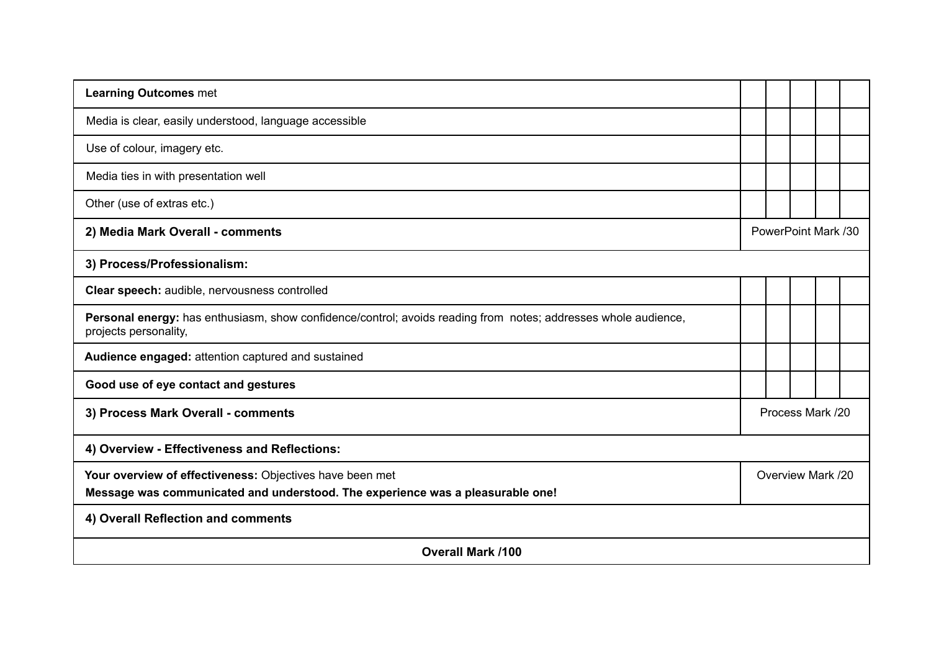| <b>Learning Outcomes met</b>                                                                                                               |                     |  |  |  |  |
|--------------------------------------------------------------------------------------------------------------------------------------------|---------------------|--|--|--|--|
| Media is clear, easily understood, language accessible                                                                                     |                     |  |  |  |  |
| Use of colour, imagery etc.                                                                                                                |                     |  |  |  |  |
| Media ties in with presentation well                                                                                                       |                     |  |  |  |  |
| Other (use of extras etc.)                                                                                                                 |                     |  |  |  |  |
| 2) Media Mark Overall - comments                                                                                                           | PowerPoint Mark /30 |  |  |  |  |
| 3) Process/Professionalism:                                                                                                                |                     |  |  |  |  |
| Clear speech: audible, nervousness controlled                                                                                              |                     |  |  |  |  |
| Personal energy: has enthusiasm, show confidence/control; avoids reading from notes; addresses whole audience,<br>projects personality,    |                     |  |  |  |  |
| Audience engaged: attention captured and sustained                                                                                         |                     |  |  |  |  |
| Good use of eye contact and gestures                                                                                                       |                     |  |  |  |  |
| 3) Process Mark Overall - comments                                                                                                         | Process Mark /20    |  |  |  |  |
| 4) Overview - Effectiveness and Reflections:                                                                                               |                     |  |  |  |  |
| Your overview of effectiveness: Objectives have been met<br>Message was communicated and understood. The experience was a pleasurable one! | Overview Mark /20   |  |  |  |  |
| 4) Overall Reflection and comments                                                                                                         |                     |  |  |  |  |
| <b>Overall Mark /100</b>                                                                                                                   |                     |  |  |  |  |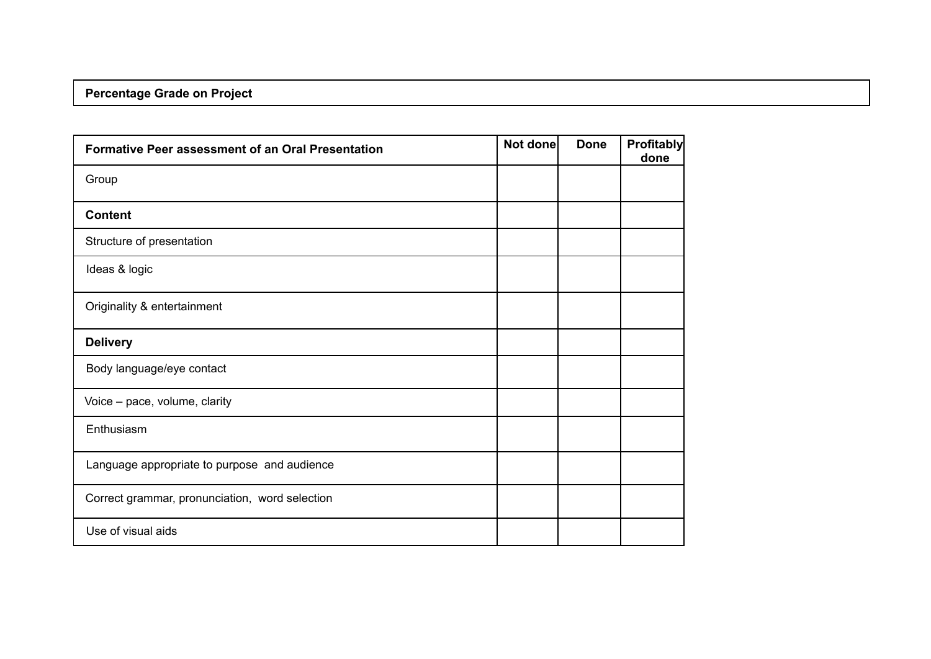# **Percentage Grade on Project**

| <b>Formative Peer assessment of an Oral Presentation</b> | Not done | <b>Done</b> | <b>Profitably</b><br>done |
|----------------------------------------------------------|----------|-------------|---------------------------|
| Group                                                    |          |             |                           |
| <b>Content</b>                                           |          |             |                           |
| Structure of presentation                                |          |             |                           |
| Ideas & logic                                            |          |             |                           |
| Originality & entertainment                              |          |             |                           |
| <b>Delivery</b>                                          |          |             |                           |
| Body language/eye contact                                |          |             |                           |
| Voice - pace, volume, clarity                            |          |             |                           |
| Enthusiasm                                               |          |             |                           |
| Language appropriate to purpose and audience             |          |             |                           |
| Correct grammar, pronunciation, word selection           |          |             |                           |
| Use of visual aids                                       |          |             |                           |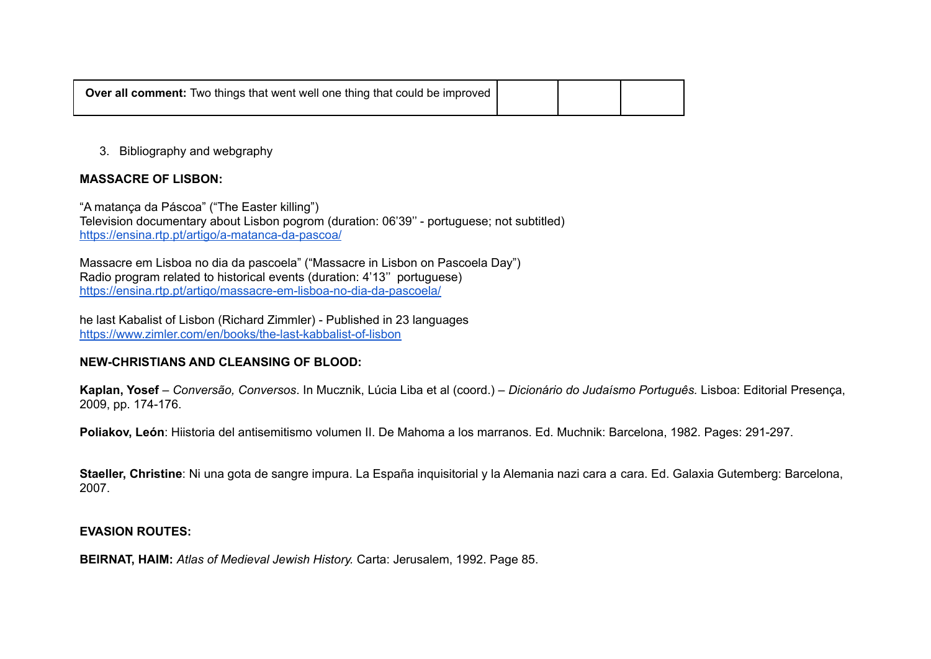| <b>Over all comment:</b> Two things that went well one thing that could be improved |  |  |
|-------------------------------------------------------------------------------------|--|--|
|                                                                                     |  |  |

#### 3. Bibliography and webgraphy

#### **MASSACRE OF LISBON:**

"A matança da Páscoa" ("The Easter killing") Television documentary about Lisbon pogrom (duration: 06'39'' - portuguese; not subtitled) <https://ensina.rtp.pt/artigo/a-matanca-da-pascoa/>

Massacre em Lisboa no dia da pascoela" ("Massacre in Lisbon on Pascoela Day") Radio program related to historical events (duration: 4'13'' portuguese) <https://ensina.rtp.pt/artigo/massacre-em-lisboa-no-dia-da-pascoela/>

he last Kabalist of Lisbon (Richard Zimmler) - Published in 23 languages <https://www.zimler.com/en/books/the-last-kabbalist-of-lisbon>

#### **NEW-CHRISTIANS AND CLEANSING OF BLOOD:**

**Kaplan, Yosef** – *Conversão, Conversos*. In Mucznik, Lúcia Liba et al (coord.) – *Dicionário do Judaísmo Português.* Lisboa: Editorial Presença, 2009, pp. 174-176.

**Poliakov, León**: Hiistoria del antisemitismo volumen II. De Mahoma a los marranos. Ed. Muchnik: Barcelona, 1982. Pages: 291-297.

**Staeller, Christine**: Ni una gota de sangre impura. La España inquisitorial y la Alemania nazi cara a cara. Ed. Galaxia Gutemberg: Barcelona, 2007.

#### **EVASION ROUTES:**

**BEIRNAT, HAIM:** *Atlas of Medieval Jewish History.* Carta: Jerusalem, 1992. Page 85.